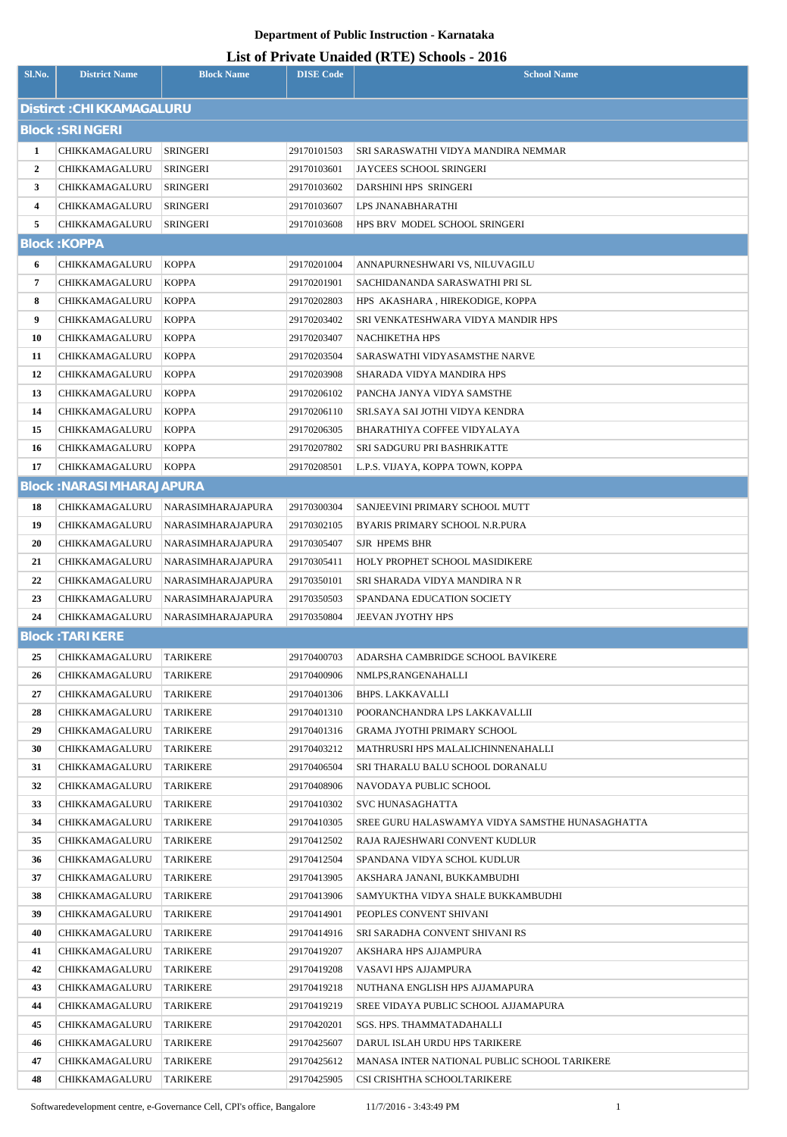### **List of Private Unaided (RTE) Schools - 2016**

| Sl.No.                   | <b>District Name</b>             | <b>Block Name</b>           | <b>DISE Code</b>           | $-222/2222$<br><b>School Name</b>                             |  |  |
|--------------------------|----------------------------------|-----------------------------|----------------------------|---------------------------------------------------------------|--|--|
| Distirct: CHIKKAMAGALURU |                                  |                             |                            |                                                               |  |  |
| <b>Block: SRINGERI</b>   |                                  |                             |                            |                                                               |  |  |
| 1                        | CHIKKAMAGALURU                   | <b>SRINGERI</b>             | 29170101503                | SRI SARASWATHI VIDYA MANDIRA NEMMAR                           |  |  |
| $\overline{2}$           | CHIKKAMAGALURU                   | <b>SRINGERI</b>             | 29170103601                | <b>JAYCEES SCHOOL SRINGERI</b>                                |  |  |
| 3                        | CHIKKAMAGALURU                   | SRINGERI                    | 29170103602                | DARSHINI HPS SRINGERI                                         |  |  |
| 4                        | CHIKKAMAGALURU                   | SRINGERI                    | 29170103607                | LPS JNANABHARATHI                                             |  |  |
| 5                        | CHIKKAMAGALURU                   | SRINGERI                    | 29170103608                | HPS BRV MODEL SCHOOL SRINGERI                                 |  |  |
|                          | <b>Block: KOPPA</b>              |                             |                            |                                                               |  |  |
| 6                        | CHIKKAMAGALURU                   | <b>KOPPA</b>                | 29170201004                | ANNAPURNESHWARI VS, NILUVAGILU                                |  |  |
| 7                        | CHIKKAMAGALURU                   | <b>KOPPA</b>                | 29170201901                | SACHIDANANDA SARASWATHI PRI SL                                |  |  |
| 8                        | CHIKKAMAGALURU                   | <b>KOPPA</b>                | 29170202803                | HPS AKASHARA, HIREKODIGE, KOPPA                               |  |  |
| 9                        | CHIKKAMAGALURU                   | <b>KOPPA</b>                | 29170203402                | SRI VENKATESHWARA VIDYA MANDIR HPS                            |  |  |
| 10                       | CHIKKAMAGALURU                   | <b>KOPPA</b>                | 29170203407                | NACHIKETHA HPS                                                |  |  |
| 11                       | CHIKKAMAGALURU                   | <b>KOPPA</b>                | 29170203504                | SARASWATHI VIDYASAMSTHE NARVE                                 |  |  |
| 12                       | CHIKKAMAGALURU                   | <b>KOPPA</b>                | 29170203908                | SHARADA VIDYA MANDIRA HPS                                     |  |  |
| 13                       | CHIKKAMAGALURU                   | <b>KOPPA</b>                | 29170206102                | PANCHA JANYA VIDYA SAMSTHE                                    |  |  |
| 14                       | CHIKKAMAGALURU                   | <b>KOPPA</b>                | 29170206110                | SRI.SAYA SAI JOTHI VIDYA KENDRA                               |  |  |
| 15                       | CHIKKAMAGALURU                   | <b>KOPPA</b>                | 29170206305                | BHARATHIYA COFFEE VIDYALAYA                                   |  |  |
| 16                       | CHIKKAMAGALURU                   | <b>KOPPA</b>                | 29170207802                | SRI SADGURU PRI BASHRIKATTE                                   |  |  |
| 17                       | CHIKKAMAGALURU                   | <b>KOPPA</b>                | 29170208501                | L.P.S. VIJAYA, KOPPA TOWN, KOPPA                              |  |  |
|                          | <b>Block: NARASIMHARAJAPURA</b>  |                             |                            |                                                               |  |  |
| 18                       | CHIKKAMAGALURU                   | NARASIMHARAJAPURA           | 29170300304                | SANJEEVINI PRIMARY SCHOOL MUTT                                |  |  |
| 19                       | CHIKKAMAGALURU                   | NARASIMHARAJAPURA           | 29170302105                | BYARIS PRIMARY SCHOOL N.R.PURA                                |  |  |
| 20                       | CHIKKAMAGALURU                   | NARASIMHARAJAPURA           | 29170305407                | SJR HPEMS BHR                                                 |  |  |
| 21                       | CHIKKAMAGALURU                   | NARASIMHARAJAPURA           | 29170305411                | HOLY PROPHET SCHOOL MASIDIKERE                                |  |  |
| 22                       | CHIKKAMAGALURU                   | NARASIMHARAJAPURA           | 29170350101                | SRI SHARADA VIDYA MANDIRA N R                                 |  |  |
| 23                       | CHIKKAMAGALURU                   | <b>NARASIMHARAJAPURA</b>    | 29170350503                | SPANDANA EDUCATION SOCIETY                                    |  |  |
| 24                       | CHIKKAMAGALURU                   | NARASIMHARAJAPURA           | 29170350804                | JEEVAN JYOTHY HPS                                             |  |  |
|                          | <b>Block: TARIKERE</b>           |                             |                            |                                                               |  |  |
| 25                       | CHIKKAMAGALURU                   | <b>TARIKERE</b>             | 29170400703                | ADARSHA CAMBRIDGE SCHOOL BAVIKERE                             |  |  |
| 26                       | CHIKKAMAGALURU                   | <b>TARIKERE</b>             | 29170400906                | NMLPS, RANGENAHALLI                                           |  |  |
| 27                       | CHIKKAMAGALURU                   | <b>TARIKERE</b>             | 29170401306                | <b>BHPS. LAKKAVALLI</b>                                       |  |  |
| 28                       | CHIKKAMAGALURU                   | <b>TARIKERE</b>             | 29170401310                | POORANCHANDRA LPS LAKKAVALLII                                 |  |  |
| 29                       | CHIKKAMAGALURU                   | <b>TARIKERE</b>             | 29170401316                | <b>GRAMA JYOTHI PRIMARY SCHOOL</b>                            |  |  |
| 30                       | CHIKKAMAGALURU                   | <b>TARIKERE</b>             | 29170403212                | MATHRUSRI HPS MALALICHINNENAHALLI                             |  |  |
| 31                       | CHIKKAMAGALURU                   | <b>TARIKERE</b>             | 29170406504                | SRI THARALU BALU SCHOOL DORANALU                              |  |  |
| 32                       | CHIKKAMAGALURU                   | TARIKERE                    | 29170408906                | NAVODAYA PUBLIC SCHOOL                                        |  |  |
| 33                       | CHIKKAMAGALURU                   | <b>TARIKERE</b>             | 29170410302                | <b>SVC HUNASAGHATTA</b>                                       |  |  |
| 34                       | CHIKKAMAGALURU                   | TARIKERE                    | 29170410305                | SREE GURU HALASWAMYA VIDYA SAMSTHE HUNASAGHATTA               |  |  |
| 35<br>36                 | CHIKKAMAGALURU<br>CHIKKAMAGALURU | TARIKERE<br><b>TARIKERE</b> | 29170412502<br>29170412504 | RAJA RAJESHWARI CONVENT KUDLUR<br>SPANDANA VIDYA SCHOL KUDLUR |  |  |
| 37                       | CHIKKAMAGALURU                   | TARIKERE                    | 29170413905                | AKSHARA JANANI, BUKKAMBUDHI                                   |  |  |
| 38                       | CHIKKAMAGALURU                   | TARIKERE                    | 29170413906                | SAMYUKTHA VIDYA SHALE BUKKAMBUDHI                             |  |  |
| 39                       | CHIKKAMAGALURU                   | <b>TARIKERE</b>             | 29170414901                | PEOPLES CONVENT SHIVANI                                       |  |  |
| 40                       | CHIKKAMAGALURU                   | <b>TARIKERE</b>             | 29170414916                | SRI SARADHA CONVENT SHIVANI RS                                |  |  |
| 41                       | CHIKKAMAGALURU                   | <b>TARIKERE</b>             | 29170419207                | AKSHARA HPS AJJAMPURA                                         |  |  |
| 42                       | CHIKKAMAGALURU                   | TARIKERE                    | 29170419208                | VASAVI HPS AJJAMPURA                                          |  |  |
| 43                       | CHIKKAMAGALURU                   | TARIKERE                    | 29170419218                | NUTHANA ENGLISH HPS AJJAMAPURA                                |  |  |
| 44                       | CHIKKAMAGALURU                   | TARIKERE                    | 29170419219                | SREE VIDAYA PUBLIC SCHOOL AJJAMAPURA                          |  |  |
| 45                       | CHIKKAMAGALURU                   | TARIKERE                    | 29170420201                | SGS. HPS. THAMMATADAHALLI                                     |  |  |
| 46                       | CHIKKAMAGALURU                   | <b>TARIKERE</b>             | 29170425607                | DARUL ISLAH URDU HPS TARIKERE                                 |  |  |
| 47                       | CHIKKAMAGALURU                   | TARIKERE                    | 29170425612                | MANASA INTER NATIONAL PUBLIC SCHOOL TARIKERE                  |  |  |
| 48                       | CHIKKAMAGALURU                   | <b>TARIKERE</b>             | 29170425905                | CSI CRISHTHA SCHOOLTARIKERE                                   |  |  |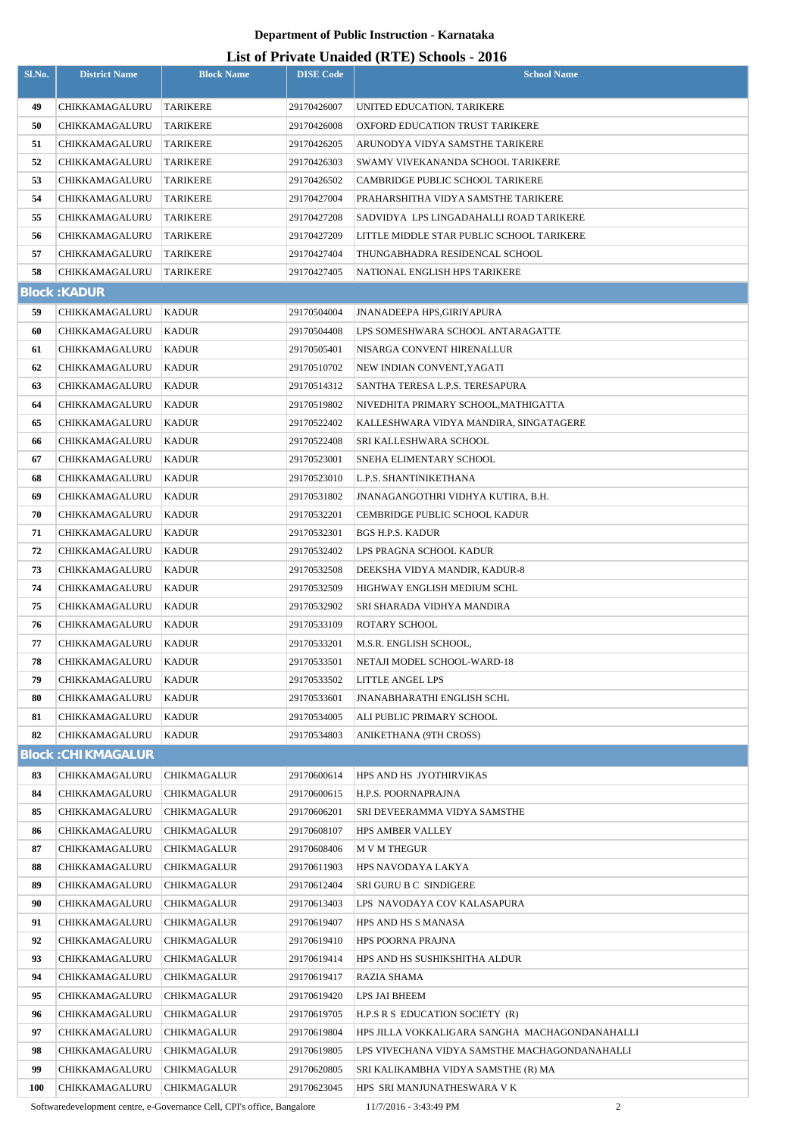## **List of Private Unaided (RTE) Schools - 2016**

|            |                           |                    |                  | List of Frivan: Unanity (KTL) Sthoots - 2010   |
|------------|---------------------------|--------------------|------------------|------------------------------------------------|
| Sl.No.     | <b>District Name</b>      | <b>Block Name</b>  | <b>DISE Code</b> | <b>School Name</b>                             |
|            |                           |                    |                  |                                                |
| 49         | CHIKKAMAGALURU            | <b>TARIKERE</b>    | 29170426007      | UNITED EDUCATION. TARIKERE                     |
| 50         | CHIKKAMAGALURU            | <b>TARIKERE</b>    | 29170426008      | OXFORD EDUCATION TRUST TARIKERE                |
| 51         | CHIKKAMAGALURU            | <b>TARIKERE</b>    | 29170426205      | ARUNODYA VIDYA SAMSTHE TARIKERE                |
| 52         | CHIKKAMAGALURU            | <b>TARIKERE</b>    | 29170426303      | SWAMY VIVEKANANDA SCHOOL TARIKERE              |
| 53         | CHIKKAMAGALURU            | <b>TARIKERE</b>    | 29170426502      | CAMBRIDGE PUBLIC SCHOOL TARIKERE               |
| 54         | CHIKKAMAGALURU            | TARIKERE           | 29170427004      | PRAHARSHITHA VIDYA SAMSTHE TARIKERE            |
| 55         | CHIKKAMAGALURU            | <b>TARIKERE</b>    | 29170427208      | SADVIDYA LPS LINGADAHALLI ROAD TARIKERE        |
| 56         | CHIKKAMAGALURU            | <b>TARIKERE</b>    | 29170427209      | LITTLE MIDDLE STAR PUBLIC SCHOOL TARIKERE      |
| 57         | CHIKKAMAGALURU            | <b>TARIKERE</b>    | 29170427404      | THUNGABHADRA RESIDENCAL SCHOOL                 |
| 58         | CHIKKAMAGALURU            | <b>TARIKERE</b>    | 29170427405      | NATIONAL ENGLISH HPS TARIKERE                  |
|            | <b>Block: KADUR</b>       |                    |                  |                                                |
| 59         | CHIKKAMAGALURU            | <b>KADUR</b>       | 29170504004      | <b>JNANADEEPA HPS.GIRIYAPURA</b>               |
| 60         | CHIKKAMAGALURU            | <b>KADUR</b>       | 29170504408      | LPS SOMESHWARA SCHOOL ANTARAGATTE              |
| 61         | CHIKKAMAGALURU            | <b>KADUR</b>       | 29170505401      | NISARGA CONVENT HIRENALLUR                     |
| 62         | CHIKKAMAGALURU            | <b>KADUR</b>       | 29170510702      | NEW INDIAN CONVENT, YAGATI                     |
| 63         | CHIKKAMAGALURU            | <b>KADUR</b>       | 29170514312      | SANTHA TERESA L.P.S. TERESAPURA                |
| 64         | CHIKKAMAGALURU            | <b>KADUR</b>       | 29170519802      | NIVEDHITA PRIMARY SCHOOL, MATHIGATTA           |
| 65         | CHIKKAMAGALURU            | <b>KADUR</b>       | 29170522402      | KALLESHWARA VIDYA MANDIRA, SINGATAGERE         |
| 66         | CHIKKAMAGALURU            | <b>KADUR</b>       | 29170522408      | SRI KALLESHWARA SCHOOL                         |
| 67         | CHIKKAMAGALURU            | <b>KADUR</b>       | 29170523001      | SNEHA ELIMENTARY SCHOOL                        |
| 68         | CHIKKAMAGALURU            | <b>KADUR</b>       | 29170523010      | L.P.S. SHANTINIKETHANA                         |
|            |                           |                    |                  |                                                |
| 69         | CHIKKAMAGALURU            | <b>KADUR</b>       | 29170531802      | JNANAGANGOTHRI VIDHYA KUTIRA, B.H.             |
| 70         | CHIKKAMAGALURU            | <b>KADUR</b>       | 29170532201      | CEMBRIDGE PUBLIC SCHOOL KADUR                  |
| 71         | CHIKKAMAGALURU            | <b>KADUR</b>       | 29170532301      | BGS H.P.S. KADUR                               |
| 72         | CHIKKAMAGALURU            | <b>KADUR</b>       | 29170532402      | LPS PRAGNA SCHOOL KADUR                        |
| 73         | CHIKKAMAGALURU            | <b>KADUR</b>       | 29170532508      | DEEKSHA VIDYA MANDIR, KADUR-8                  |
| 74         | CHIKKAMAGALURU            | <b>KADUR</b>       | 29170532509      | HIGHWAY ENGLISH MEDIUM SCHL                    |
| 75         | CHIKKAMAGALURU            | <b>KADUR</b>       | 29170532902      | SRI SHARADA VIDHYA MANDIRA                     |
| 76         | CHIKKAMAGALURU            | <b>KADUR</b>       | 29170533109      | ROTARY SCHOOL                                  |
| 77         | CHIKKAMAGALURU            | KADUR              | 29170533201      | M.S.R. ENGLISH SCHOOL,                         |
| 78         | CHIKKAMAGALURU            | <b>KADUR</b>       | 29170533501      | NETAJI MODEL SCHOOL-WARD-18                    |
| 79         | CHIKKAMAGALURU            | <b>KADUR</b>       | 29170533502      | <b>LITTLE ANGEL LPS</b>                        |
| 80         | CHIKKAMAGALURU            | KADUR              | 29170533601      | JNANABHARATHI ENGLISH SCHL                     |
| 81         | CHIKKAMAGALURU            | <b>KADUR</b>       | 29170534005      | ALI PUBLIC PRIMARY SCHOOL                      |
| 82         | CHIKKAMAGALURU            | <b>KADUR</b>       | 29170534803      | ANIKETHANA (9TH CROSS)                         |
|            | <b>Block: CHIKMAGALUR</b> |                    |                  |                                                |
| 83         | CHIKKAMAGALURU            | <b>CHIKMAGALUR</b> | 29170600614      | HPS AND HS JYOTHIRVIKAS                        |
| 84         | CHIKKAMAGALURU            | CHIKMAGALUR        | 29170600615      | H.P.S. POORNAPRAJNA                            |
| 85         | CHIKKAMAGALURU            | CHIKMAGALUR        | 29170606201      | SRI DEVEERAMMA VIDYA SAMSTHE                   |
| 86         | CHIKKAMAGALURU            | CHIKMAGALUR        | 29170608107      | <b>HPS AMBER VALLEY</b>                        |
| 87         | CHIKKAMAGALURU            | CHIKMAGALUR        | 29170608406      | <b>M V M THEGUR</b>                            |
| 88         | CHIKKAMAGALURU            | CHIKMAGALUR        | 29170611903      | HPS NAVODAYA LAKYA                             |
| 89         | CHIKKAMAGALURU            | CHIKMAGALUR        | 29170612404      | SRI GURU B C SINDIGERE                         |
| 90         | CHIKKAMAGALURU            | <b>CHIKMAGALUR</b> | 29170613403      | LPS NAVODAYA COV KALASAPURA                    |
| 91         | CHIKKAMAGALURU            | CHIKMAGALUR        | 29170619407      | HPS AND HS S MANASA                            |
| 92         | CHIKKAMAGALURU            | CHIKMAGALUR        | 29170619410      | HPS POORNA PRAJNA                              |
| 93         | CHIKKAMAGALURU            | <b>CHIKMAGALUR</b> | 29170619414      | HPS AND HS SUSHIKSHITHA ALDUR                  |
| 94         | CHIKKAMAGALURU            | <b>CHIKMAGALUR</b> | 29170619417      | RAZIA SHAMA                                    |
| 95         | CHIKKAMAGALURU            | CHIKMAGALUR        | 29170619420      | LPS JAI BHEEM                                  |
| 96         | CHIKKAMAGALURU            | <b>CHIKMAGALUR</b> | 29170619705      | H.P.S R S EDUCATION SOCIETY (R)                |
| 97         | CHIKKAMAGALURU            | <b>CHIKMAGALUR</b> | 29170619804      | HPS JILLA VOKKALIGARA SANGHA MACHAGONDANAHALLI |
| 98         |                           | <b>CHIKMAGALUR</b> |                  |                                                |
| 99         | CHIKKAMAGALURU            |                    | 29170619805      | LPS VIVECHANA VIDYA SAMSTHE MACHAGONDANAHALLI  |
|            | CHIKKAMAGALURU            | <b>CHIKMAGALUR</b> | 29170620805      | SRI KALIKAMBHA VIDYA SAMSTHE (R) MA            |
| <b>100</b> | CHIKKAMAGALURU            | CHIKMAGALUR        | 29170623045      | HPS  SRI MANJUNATHESWARA V K                   |

Softwaredevelopment centre, e-Governance Cell, CPI's office, Bangalore 11/7/2016 - 3:43:49 PM 2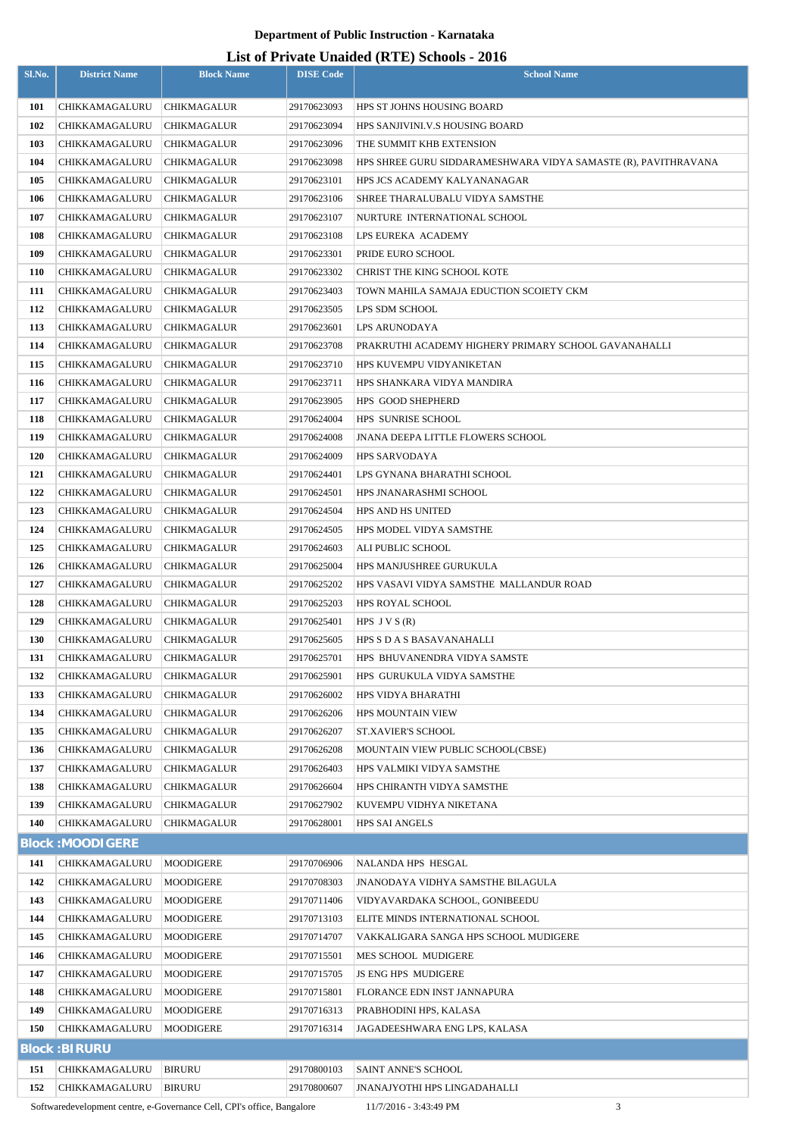## **List of Private Unaided (RTE) Schools - 2016**

| Sl.No.     | <b>District Name</b>             | <b>Block Name</b>                 | <b>DISE Code</b>           | $\mathbf{L}$ list of Frivance Unangela (IVFL) behools $\mathbf{F}$<br><b>School Name</b> |
|------------|----------------------------------|-----------------------------------|----------------------------|------------------------------------------------------------------------------------------|
| 101        | CHIKKAMAGALURU                   | <b>CHIKMAGALUR</b>                | 29170623093                | HPS ST JOHNS HOUSING BOARD                                                               |
| 102        | CHIKKAMAGALURU                   | <b>CHIKMAGALUR</b>                | 29170623094                | HPS SANJIVINI.V.S HOUSING BOARD                                                          |
| 103        | CHIKKAMAGALURU                   | CHIKMAGALUR                       | 29170623096                | THE SUMMIT KHB EXTENSION                                                                 |
| 104        | CHIKKAMAGALURU                   | CHIKMAGALUR                       | 29170623098                | HPS SHREE GURU SIDDARAMESHWARA VIDYA SAMASTE (R), PAVITHRAVANA                           |
| 105        | CHIKKAMAGALURU                   | CHIKMAGALUR                       | 29170623101                | HPS JCS ACADEMY KALYANANAGAR                                                             |
| 106        | CHIKKAMAGALURU                   | CHIKMAGALUR                       | 29170623106                | SHREE THARALUBALU VIDYA SAMSTHE                                                          |
| 107        | CHIKKAMAGALURU                   | <b>CHIKMAGALUR</b>                | 29170623107                | NURTURE INTERNATIONAL SCHOOL                                                             |
| 108        | CHIKKAMAGALURU                   | CHIKMAGALUR                       | 29170623108                | LPS EUREKA ACADEMY                                                                       |
| 109        | CHIKKAMAGALURU                   | CHIKMAGALUR                       | 29170623301                | PRIDE EURO SCHOOL                                                                        |
| 110        | CHIKKAMAGALURU                   | CHIKMAGALUR                       | 29170623302                | CHRIST THE KING SCHOOL KOTE                                                              |
| 111        | CHIKKAMAGALURU                   | CHIKMAGALUR                       | 29170623403                | TOWN MAHILA SAMAJA EDUCTION SCOIETY CKM                                                  |
| 112        | CHIKKAMAGALURU                   | <b>CHIKMAGALUR</b>                | 29170623505                | LPS SDM SCHOOL                                                                           |
| 113        | CHIKKAMAGALURU                   | CHIKMAGALUR                       | 29170623601                | LPS ARUNODAYA                                                                            |
| 114        | CHIKKAMAGALURU                   | CHIKMAGALUR                       | 29170623708                | PRAKRUTHI ACADEMY HIGHERY PRIMARY SCHOOL GAVANAHALLI                                     |
| 115        | CHIKKAMAGALURU                   | <b>CHIKMAGALUR</b>                | 29170623710                | HPS KUVEMPU VIDYANIKETAN                                                                 |
| 116        | CHIKKAMAGALURU                   | CHIKMAGALUR                       | 29170623711                | HPS SHANKARA VIDYA MANDIRA                                                               |
| 117        | CHIKKAMAGALURU                   | <b>CHIKMAGALUR</b>                | 29170623905                | <b>HPS GOOD SHEPHERD</b>                                                                 |
| 118        | CHIKKAMAGALURU                   | <b>CHIKMAGALUR</b>                | 29170624004                | HPS SUNRISE SCHOOL                                                                       |
| 119        | CHIKKAMAGALURU                   | CHIKMAGALUR                       | 29170624008                | <b>JNANA DEEPA LITTLE FLOWERS SCHOOL</b>                                                 |
| 120        | CHIKKAMAGALURU                   | CHIKMAGALUR                       | 29170624009                | HPS SARVODAYA                                                                            |
| 121        | CHIKKAMAGALURU                   | CHIKMAGALUR                       | 29170624401                | LPS GYNANA BHARATHI SCHOOL                                                               |
| 122        | CHIKKAMAGALURU                   | CHIKMAGALUR                       | 29170624501                | HPS JNANARASHMI SCHOOL                                                                   |
| 123        | CHIKKAMAGALURU                   | CHIKMAGALUR                       | 29170624504                | HPS AND HS UNITED                                                                        |
| 124        | CHIKKAMAGALURU                   | CHIKMAGALUR                       | 29170624505                | HPS MODEL VIDYA SAMSTHE                                                                  |
| 125        | CHIKKAMAGALURU                   | CHIKMAGALUR                       | 29170624603                | ALI PUBLIC SCHOOL                                                                        |
| 126        | CHIKKAMAGALURU                   | CHIKMAGALUR                       | 29170625004                | HPS MANJUSHREE GURUKULA                                                                  |
| 127        | CHIKKAMAGALURU                   | <b>CHIKMAGALUR</b>                | 29170625202                | HPS VASAVI VIDYA SAMSTHE MALLANDUR ROAD                                                  |
| 128        | CHIKKAMAGALURU                   | <b>CHIKMAGALUR</b>                | 29170625203                | HPS ROYAL SCHOOL                                                                         |
| 129        | CHIKKAMAGALURU                   | <b>CHIKMAGALUR</b>                | 29170625401                | HPS $J V S (R)$                                                                          |
| 130        | CHIKKAMAGALURU                   | CHIKMAGALUR                       | 29170625605                | HPS S D A S BASAVANAHALLI                                                                |
| 131        | CHIKKAMAGALURU                   | CHIKMAGALUR                       | 29170625701                | HPS BHUVANENDRA VIDYA SAMSTE                                                             |
| 132        | CHIKKAMAGALURU                   | CHIKMAGALUR                       | 29170625901                | HPS GURUKULA VIDYA SAMSTHE                                                               |
| 133<br>134 | CHIKKAMAGALURU                   | CHIKMAGALUR                       | 29170626002                | HPS VIDYA BHARATHI                                                                       |
| 135        | CHIKKAMAGALURU<br>CHIKKAMAGALURU | CHIKMAGALUR<br><b>CHIKMAGALUR</b> | 29170626206<br>29170626207 | HPS MOUNTAIN VIEW<br><b>ST.XAVIER'S SCHOOL</b>                                           |
| 136        | CHIKKAMAGALURU                   | CHIKMAGALUR                       | 29170626208                | MOUNTAIN VIEW PUBLIC SCHOOL(CBSE)                                                        |
| 137        | CHIKKAMAGALURU                   | CHIKMAGALUR                       | 29170626403                | HPS VALMIKI VIDYA SAMSTHE                                                                |
| 138        | CHIKKAMAGALURU                   | CHIKMAGALUR                       | 29170626604                | HPS CHIRANTH VIDYA SAMSTHE                                                               |
| 139        | CHIKKAMAGALURU                   | CHIKMAGALUR                       | 29170627902                | KUVEMPU VIDHYA NIKETANA                                                                  |
| 140        | CHIKKAMAGALURU                   | CHIKMAGALUR                       | 29170628001                | <b>HPS SAI ANGELS</b>                                                                    |
|            | <b>Block: MOODIGERE</b>          |                                   |                            |                                                                                          |
| 141        | CHIKKAMAGALURU                   | MOODIGERE                         | 29170706906                | NALANDA HPS HESGAL                                                                       |
| 142        | CHIKKAMAGALURU                   | MOODIGERE                         | 29170708303                | JNANODAYA VIDHYA SAMSTHE BILAGULA                                                        |
| 143        | CHIKKAMAGALURU                   | MOODIGERE                         | 29170711406                | VIDYAVARDAKA SCHOOL, GONIBEEDU                                                           |
| 144        | CHIKKAMAGALURU                   | MOODIGERE                         | 29170713103                | ELITE MINDS INTERNATIONAL SCHOOL                                                         |
| 145        | CHIKKAMAGALURU                   | MOODIGERE                         | 29170714707                | VAKKALIGARA SANGA HPS SCHOOL MUDIGERE                                                    |
| 146        | CHIKKAMAGALURU                   | MOODIGERE                         | 29170715501                | MES SCHOOL MUDIGERE                                                                      |
| 147        | CHIKKAMAGALURU                   | MOODIGERE                         | 29170715705                | <b>JS ENG HPS MUDIGERE</b>                                                               |
| 148        | CHIKKAMAGALURU                   | MOODIGERE                         | 29170715801                | FLORANCE EDN INST JANNAPURA                                                              |
| 149        | CHIKKAMAGALURU                   | MOODIGERE                         | 29170716313                | PRABHODINI HPS, KALASA                                                                   |
| 150        | CHIKKAMAGALURU                   | MOODIGERE                         | 29170716314                | JAGADEESHWARA ENG LPS, KALASA                                                            |
|            | <b>Block:BIRURU</b>              |                                   |                            |                                                                                          |
| 151        | CHIKKAMAGALURU                   | <b>BIRURU</b>                     | 29170800103                | <b>SAINT ANNE'S SCHOOL</b>                                                               |
|            |                                  | <b>BIRURU</b>                     | 29170800607                | JNANAJYOTHI HPS LINGADAHALLI                                                             |

Softwaredevelopment centre, e-Governance Cell, CPI's office, Bangalore 11/7/2016 - 3:43:49 PM 3